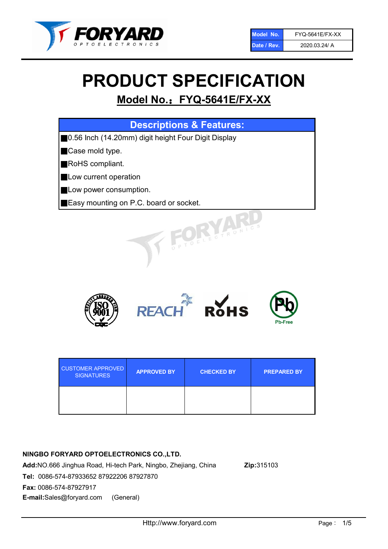

# PRODUCT SPECIFICATION

## Model No.: FYQ-5641E/FX-XX

| <b>Descriptions &amp; Features:</b>                 |  |  |
|-----------------------------------------------------|--|--|
| 0.56 Inch (14.20mm) digit height Four Digit Display |  |  |
| Case mold type.                                     |  |  |
| <b>RoHS</b> compliant.                              |  |  |
| Low current operation                               |  |  |
| Low power consumption.                              |  |  |
| <b>Easy mounting on P.C. board or socket.</b>       |  |  |
| TOELECTRONIC.                                       |  |  |



| <b>CUSTOMER APPROVED</b><br><b>SIGNATURES</b> | <b>APPROVED BY</b> | <b>CHECKED BY</b> | <b>PREPARED BY</b> |
|-----------------------------------------------|--------------------|-------------------|--------------------|
|                                               |                    |                   |                    |

#### NINGBO FORYARD OPTOELECTRONICS CO.,LTD.

Add:NO.666 Jinghua Road, Hi-tech Park, Ningbo, Zhejiang, China Zip:315103 Tel: 0086-574-87933652 87922206 87927870 Fax: 0086-574-87927917 E-mail:Sales@foryard.com (General)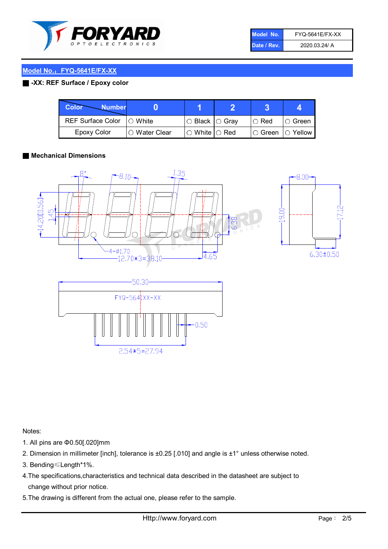

| Model No.   | <b>FYQ-5641E/FX-XX</b> |
|-------------|------------------------|
| Date / Rev. | 2020.03.24/ A          |

#### Model No.: FYQ-5641E/FX-XX

#### ■ -XX: REF Surface / Epoxy color

| Color<br><b>Number</b>     |                |                           |             |                |
|----------------------------|----------------|---------------------------|-------------|----------------|
| REF Surface Color  ○ White |                | ○ Black  ○ Gray           | $\circ$ Red | $\circ$ Green  |
| Epoxy Color                | I⊖ Water Clear | $\circ$ White $\circ$ Red | I⊖ Green    | $\circ$ Yellow |

#### ■ Mechanical Dimensions







- 1. All pins are Φ0.50[.020]mm
- 2. Dimension in millimeter [inch], tolerance is ±0.25 [.010] and angle is ±1° unless otherwise noted.
- 3. Bending≤Length\*1%.
- 4.The specifications,characteristics and technical data described in the datasheet are subject to change without prior notice.
- 5.The drawing is different from the actual one, please refer to the sample.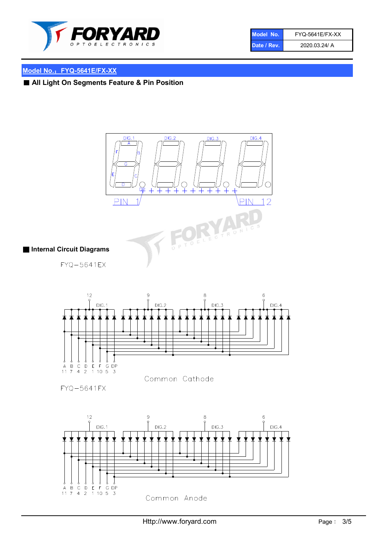

| Model No.   | <b>FYQ-5641E/FX-XX</b> |
|-------------|------------------------|
| Date / Rev. | 2020.03.24/ A          |

### Model No.: FYQ-5641E/FX-XX

■ All Light On Segments Feature & Pin Position



Common Anode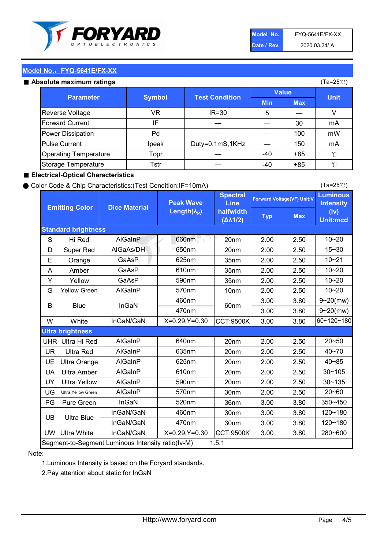

| Model No.   | <b>FYQ-5641E/FX-XX</b> |
|-------------|------------------------|
| Date / Rev. | 2020.03.24/ A          |

(Ta=25℃)

#### Model No.: FYQ-5641E/FX-XX

#### Absolute maximum

| solute maximum ratings       |               |                       |              |            | (Ta=25℃)    |
|------------------------------|---------------|-----------------------|--------------|------------|-------------|
| <b>Parameter</b>             | <b>Symbol</b> | <b>Test Condition</b> | <b>Value</b> |            |             |
|                              |               |                       | <b>Min</b>   | <b>Max</b> | <b>Unit</b> |
| Reverse Voltage              | VR            | $IR = 30$             | 5            |            |             |
| <b>Forward Current</b>       | ΙF            |                       |              | 30         | mA          |
| Power Dissipation            | Pd            |                       |              | 100        | mW          |
| <b>Pulse Current</b>         | Ipeak         | Duty=0.1mS,1KHz       |              | 150        | mA          |
| <b>Operating Temperature</b> | Topr          |                       | $-40$        | $+85$      | °C          |
| Storage Temperature          | Tstr          |                       | $-40$        | $+85$      | °C          |

#### ■ Electrical-Optical Characteristics

#### ● Color Code & Chip Characteristics:(Test Condition:IF=10mA)

Typ Max S | Hi $\textsf{Red}$  | AlGaInP | 660nm LE 20nm | 2.00 | 2.50 D | Super Red | AIGaAs/DH | 650nm | 20nm | 2.00 | 2.50 E | Orange | GaAsP | 625nm | 35nm | 2.00 | 2.50 A | Amber | GaAsP | 610nm | 35nm | 2.00 | 2.50 Y | Yellow | GaAsP | 590nm | 35nm | 2.00 | 2.50 G Yellow Green AIGaInP | 570nm | 10nm | 2.00 | 2.50 3.00 3.80 3.00 3.80 W | White | InGaN/GaN | X=0.29,Y=0.30 |CCT:9500K| 3.00 | 3.80 UHR Ultra Hi Red | AlGaInP | 640nm | 20nm | 2.00 | 2.50 UR | Ultra Red | AlGaInP | 635nm | 20nm | 2.00 | 2.50 UE Ultra Orange | AIGaInP | 625nm | 20nm | 2.00 | 2.50 UA Ultra Amber | AIGaInP | 610nm | 20nm | 2.00 | 2.50  $UV$  Ultra Yellow  $\vert$  AlGaInP  $\vert$  590nm  $\vert$  20nm  $\vert$  2.00  $\vert$  2.50  $\text{UG}$  Ultra Yellow Green | AIGaInP | 570nm | 30nm | 2.00 | 2.50 PG Pure Green | InGaN | 520nm | 36nm | 3.00 | 3.80 30nm 3.00 3.80 30nm 3.00 3.80 UW |Ultra White | InGaN/GaN | X=0.29,Y=0.30 |CCT:9500K| 3.00 | 3.80 10~20 Standard brightness Forward Voltage(VF) Unit:V 15~30 10~20 10~20 625nm GaAsP 590nm **Emitting Color Dice Material** 10~21 610nm Luminous **Intensity** (Iv) Unit:mcd AlGainP 660nm GaAsP GaAsP AlGaAs/DH **Spectral** Line halfwidth (∆λ1/2) Peak Wave Length $(\lambda_{\rm P})$ UB 460nm 635nm AlGaInP AlGaInP AlGaInP InGaN/GaN AlGaInP | 570nm | 10nm | 2.00 | 2.50 | 10~20 30~105 30~135 460nm 520nm Ultra brightness **AlGaInP** AlGaInP 60nm AlGaInP 640nm Segment-to-Segment Luminous Intensity ratio(Iv-M) 1.5:1 610nm 9~20(mw) 350~450 470nm 120~180 120~180 Ultra Blue InGaN/GaN InGaN/GaN 9~20(mw) 20~50 280~600 570nm | 30nm | 2.00 | 2.50 | 20~60 470nm 590nm InGaN/GaN B Blue I InGaN 40~85 60~120~180 40~70

#### Note:

1.Luminous Intensity is based on the Foryard standards.

2.Pay attention about static for InGaN